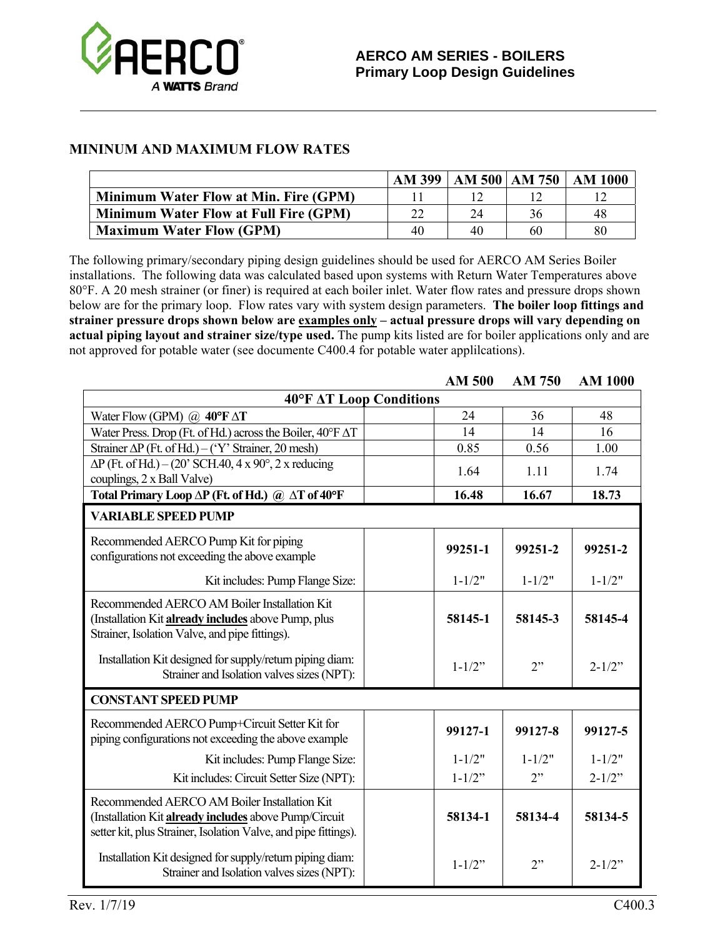

## **MININUM AND MAXIMUM FLOW RATES**

|                                              |    |    | AM 399   AM 500   AM 750 | AM 1000 |
|----------------------------------------------|----|----|--------------------------|---------|
| <b>Minimum Water Flow at Min. Fire (GPM)</b> |    |    |                          |         |
| <b>Minimum Water Flow at Full Fire (GPM)</b> |    | 24 | 36                       | 48      |
| <b>Maximum Water Flow (GPM)</b>              | 40 | 40 | 60                       | 80      |

The following primary/secondary piping design guidelines should be used for AERCO AM Series Boiler installations. The following data was calculated based upon systems with Return Water Temperatures above 80°F. A 20 mesh strainer (or finer) is required at each boiler inlet. Water flow rates and pressure drops shown below are for the primary loop. Flow rates vary with system design parameters. **The boiler loop fittings and strainer pressure drops shown below are examples only – actual pressure drops will vary depending on actual piping layout and strainer size/type used.** The pump kits listed are for boiler applications only and are not approved for potable water (see documente C400.4 for potable water applilcations).

|                                                                                                                                                                          |  | <b>AM 500</b> | AM 750     | <b>AM 1000</b> |  |
|--------------------------------------------------------------------------------------------------------------------------------------------------------------------------|--|---------------|------------|----------------|--|
| 40°F AT Loop Conditions                                                                                                                                                  |  |               |            |                |  |
| Water Flow (GPM) $\omega$ 40°F $\Delta T$                                                                                                                                |  | 24            | 36         | 48             |  |
| Water Press. Drop (Ft. of Hd.) across the Boiler, $40^{\circ}$ F $\Delta$ T                                                                                              |  | 14            | 14         | 16             |  |
| Strainer $\Delta P$ (Ft. of Hd.) – ('Y' Strainer, 20 mesh)                                                                                                               |  | 0.85          | 0.56       | 1.00           |  |
| $\Delta P$ (Ft. of Hd.) – (20' SCH.40, 4 x 90°, 2 x reducing<br>couplings, 2 x Ball Valve)                                                                               |  | 1.64          | 1.11       | 1.74           |  |
| Total Primary Loop AP (Ft. of Hd.) @ AT of 40°F                                                                                                                          |  | 16.48         | 16.67      | 18.73          |  |
| <b>VARIABLE SPEED PUMP</b>                                                                                                                                               |  |               |            |                |  |
| Recommended AERCO Pump Kit for piping<br>configurations not exceeding the above example                                                                                  |  | 99251-1       | 99251-2    | 99251-2        |  |
| Kit includes: Pump Flange Size:                                                                                                                                          |  | $1 - 1/2"$    | $1 - 1/2"$ | $1 - 1/2"$     |  |
| Recommended AERCO AM Boiler Installation Kit<br>(Installation Kit already includes above Pump, plus<br>Strainer, Isolation Valve, and pipe fittings).                    |  | 58145-1       | 58145-3    | 58145-4        |  |
| Installation Kit designed for supply/return piping diam:<br>Strainer and Isolation valves sizes (NPT):                                                                   |  | $1 - 1/2$ "   | 2"         | $2 - 1/2$ "    |  |
| <b>CONSTANT SPEED PUMP</b>                                                                                                                                               |  |               |            |                |  |
| Recommended AERCO Pump+Circuit Setter Kit for<br>piping configurations not exceeding the above example                                                                   |  | 99127-1       | 99127-8    | 99127-5        |  |
| Kit includes: Pump Flange Size:                                                                                                                                          |  | $1 - 1/2"$    | $1 - 1/2"$ | $1 - 1/2"$     |  |
| Kit includes: Circuit Setter Size (NPT):                                                                                                                                 |  | $1 - 1/2$ "   | 2"         | $2 - 1/2$ "    |  |
| Recommended AERCO AM Boiler Installation Kit<br>(Installation Kit already includes above Pump/Circuit<br>setter kit, plus Strainer, Isolation Valve, and pipe fittings). |  | 58134-1       | 58134-4    | 58134-5        |  |
| Installation Kit designed for supply/return piping diam:<br>Strainer and Isolation valves sizes (NPT):                                                                   |  | $1 - 1/2$ "   | 2"         | $2 - 1/2$ "    |  |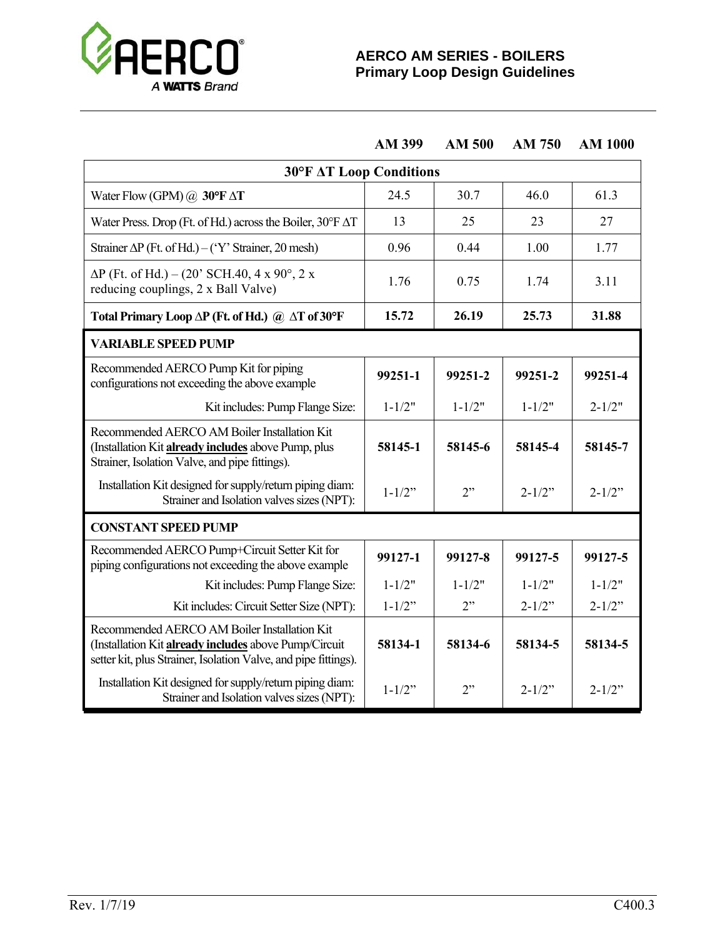

**AM 399 AM 500 AM 750 AM 1000** 

| <b>30°F AT Loop Conditions</b>                                                                                                                                           |             |            |             |             |
|--------------------------------------------------------------------------------------------------------------------------------------------------------------------------|-------------|------------|-------------|-------------|
| Water Flow (GPM) $@$ 30°F $\Delta T$                                                                                                                                     | 24.5        | 30.7       | 46.0        | 61.3        |
| Water Press. Drop (Ft. of Hd.) across the Boiler, $30^{\circ}$ F $\Delta$ T                                                                                              | 13          | 25         | 23          | 27          |
| Strainer $\Delta P$ (Ft. of Hd.) – ('Y' Strainer, 20 mesh)                                                                                                               | 0.96        | 0.44       | 1.00        | 1.77        |
| $\Delta P$ (Ft. of Hd.) – (20' SCH.40, 4 x 90°, 2 x<br>reducing couplings, 2 x Ball Valve)                                                                               | 1.76        | 0.75       | 1.74        | 3.11        |
| Total Primary Loop $\Delta P$ (Ft. of Hd.) @ $\Delta T$ of 30°F                                                                                                          | 15.72       | 26.19      | 25.73       | 31.88       |
| <b>VARIABLE SPEED PUMP</b>                                                                                                                                               |             |            |             |             |
| Recommended AERCO Pump Kit for piping<br>configurations not exceeding the above example                                                                                  | 99251-1     | 99251-2    | 99251-2     | 99251-4     |
| Kit includes: Pump Flange Size:                                                                                                                                          | $1 - 1/2"$  | $1 - 1/2"$ | $1 - 1/2"$  | $2 - 1/2"$  |
| Recommended AERCO AM Boiler Installation Kit<br>(Installation Kit <b>already includes</b> above Pump, plus<br>Strainer, Isolation Valve, and pipe fittings).             | 58145-1     | 58145-6    | 58145-4     | 58145-7     |
| Installation Kit designed for supply/return piping diam:<br>Strainer and Isolation valves sizes (NPT):                                                                   | $1 - 1/2$ " | 2"         | $2 - 1/2$ " | $2 - 1/2$ " |
| <b>CONSTANT SPEED PUMP</b>                                                                                                                                               |             |            |             |             |
| Recommended AERCO Pump+Circuit Setter Kit for<br>piping configurations not exceeding the above example                                                                   | 99127-1     | 99127-8    | 99127-5     | 99127-5     |
| Kit includes: Pump Flange Size:                                                                                                                                          | $1 - 1/2"$  | $1 - 1/2"$ | $1 - 1/2"$  | $1 - 1/2"$  |
| Kit includes: Circuit Setter Size (NPT):                                                                                                                                 | $1 - 1/2$ " | 2"         | $2 - 1/2$ " | $2 - 1/2$ " |
| Recommended AERCO AM Boiler Installation Kit<br>(Installation Kit already includes above Pump/Circuit<br>setter kit, plus Strainer, Isolation Valve, and pipe fittings). | 58134-1     | 58134-6    | 58134-5     | 58134-5     |
| Installation Kit designed for supply/return piping diam:<br>Strainer and Isolation valves sizes (NPT):                                                                   | $1 - 1/2$ " | 2"         | $2 - 1/2$ " | $2 - 1/2$ " |